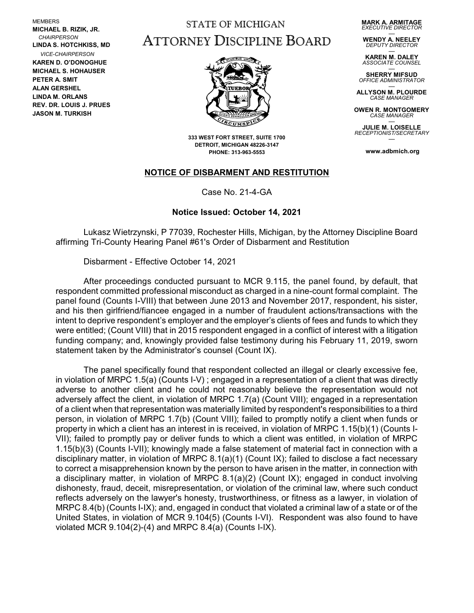MEMBERS **MICHAEL B. RIZIK, JR.**  *CHAIRPERSON* **LINDA S. HOTCHKISS, MD** *VICE-CHAIRPERSON* **KAREN D. O'DONOGHUE MICHAEL S. HOHAUSER PETER A. SMIT ALAN GERSHEL LINDA M. ORLANS REV. DR. LOUIS J. PRUES JASON M. TURKISH**

## STATE OF MICHIGAN ATTORNEY DISCIPLINE BOARD

**MARK A. ARMITAGE** *EXECUTIVE DIRECTOR*

— **WENDY A. NEELEY** *DEPUTY DIRECTOR*

— **KAREN M. DALEY** *ASSOCIATE COUNSEL*

— **SHERRY MIFSUD** *OFFICE ADMINISTRATOR*

— **ALLYSON M. PLOURDE** *CASE MANAGER*

**OWEN R. MONTGOMERY** *CASE MANAGER* —

**JULIE M. LOISELLE** *RECEPTIONIST/SECRETARY* —

**www.adbmich.org**



**333 WEST FORT STREET, SUITE 1700 DETROIT, MICHIGAN 48226-3147 PHONE: 313-963-5553**

## **NOTICE OF DISBARMENT AND RESTITUTION**

Case No. 21-4-GA

## **Notice Issued: October 14, 2021**

Lukasz Wietrzynski, P 77039, Rochester Hills, Michigan, by the Attorney Discipline Board affirming Tri-County Hearing Panel #61's Order of Disbarment and Restitution

Disbarment - Effective October 14, 2021

After proceedings conducted pursuant to MCR 9.115, the panel found, by default, that respondent committed professional misconduct as charged in a nine-count formal complaint. The panel found (Counts I-VIII) that between June 2013 and November 2017, respondent, his sister, and his then girlfriend/fiancee engaged in a number of fraudulent actions/transactions with the intent to deprive respondent's employer and the employer's clients of fees and funds to which they were entitled; (Count VIII) that in 2015 respondent engaged in a conflict of interest with a litigation funding company; and, knowingly provided false testimony during his February 11, 2019, sworn statement taken by the Administrator's counsel (Count IX).

The panel specifically found that respondent collected an illegal or clearly excessive fee, in violation of MRPC 1.5(a) (Counts I-V) ; engaged in a representation of a client that was directly adverse to another client and he could not reasonably believe the representation would not adversely affect the client, in violation of MRPC 1.7(a) (Count VIII); engaged in a representation of a client when that representation was materially limited by respondent's responsibilities to a third person, in violation of MRPC 1.7(b) (Count VIII); failed to promptly notify a client when funds or property in which a client has an interest in is received, in violation of MRPC 1.15(b)(1) (Counts I-VII); failed to promptly pay or deliver funds to which a client was entitled, in violation of MRPC 1.15(b)(3) (Counts I-VII); knowingly made a false statement of material fact in connection with a disciplinary matter, in violation of MRPC 8.1(a)(1) (Count IX); failed to disclose a fact necessary to correct a misapprehension known by the person to have arisen in the matter, in connection with a disciplinary matter, in violation of MRPC 8.1(a)(2) (Count IX); engaged in conduct involving dishonesty, fraud, deceit, misrepresentation, or violation of the criminal law, where such conduct reflects adversely on the lawyer's honesty, trustworthiness, or fitness as a lawyer, in violation of MRPC 8.4(b) (Counts I-IX); and, engaged in conduct that violated a criminal law of a state or of the United States, in violation of MCR 9.104(5) (Counts I-VI). Respondent was also found to have violated MCR 9.104(2)-(4) and MRPC 8.4(a) (Counts I-IX).